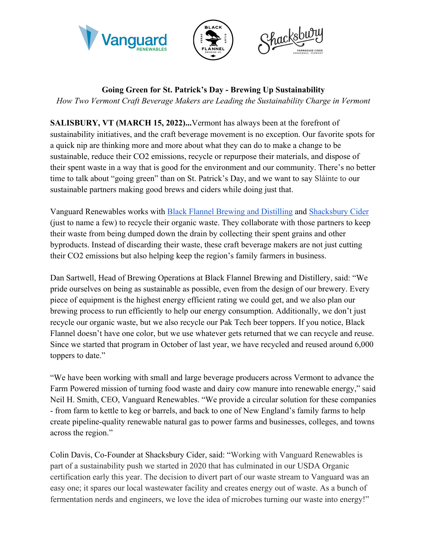





**Going Green for St. Patrick's Day - Brewing Up Sustainability** 

*How Two Vermont Craft Beverage Makers are Leading the Sustainability Charge in Vermont*

**SALISBURY, VT (MARCH 15, 2022)...**Vermont has always been at the forefront of sustainability initiatives, and the craft beverage movement is no exception. Our favorite spots for a quick nip are thinking more and more about what they can do to make a change to be sustainable, reduce their CO2 emissions, recycle or repurpose their materials, and dispose of their spent waste in a way that is good for the environment and our community. There's no better time to talk about "going green" than on St. Patrick's Day, and we want to say Sláinte to our sustainable partners making good brews and ciders while doing just that.

Vanguard Renewables works with Black Flannel Brewing and Distilling and Shacksbury Cider (just to name a few) to recycle their organic waste. They collaborate with those partners to keep their waste from being dumped down the drain by collecting their spent grains and other byproducts. Instead of discarding their waste, these craft beverage makers are not just cutting their CO2 emissions but also helping keep the region's family farmers in business.

Dan Sartwell, Head of Brewing Operations at Black Flannel Brewing and Distillery, said: "We pride ourselves on being as sustainable as possible, even from the design of our brewery. Every piece of equipment is the highest energy efficient rating we could get, and we also plan our brewing process to run efficiently to help our energy consumption. Additionally, we don't just recycle our organic waste, but we also recycle our Pak Tech beer toppers. If you notice, Black Flannel doesn't have one color, but we use whatever gets returned that we can recycle and reuse. Since we started that program in October of last year, we have recycled and reused around 6,000 toppers to date."

"We have been working with small and large beverage producers across Vermont to advance the Farm Powered mission of turning food waste and dairy cow manure into renewable energy," said Neil H. Smith, CEO, Vanguard Renewables. "We provide a circular solution for these companies - from farm to kettle to keg or barrels, and back to one of New England's family farms to help create pipeline-quality renewable natural gas to power farms and businesses, colleges, and towns across the region."

Colin Davis, Co-Founder at Shacksbury Cider, said: "Working with Vanguard Renewables is part of a sustainability push we started in 2020 that has culminated in our USDA Organic certification early this year. The decision to divert part of our waste stream to Vanguard was an easy one; it spares our local wastewater facility and creates energy out of waste. As a bunch of fermentation nerds and engineers, we love the idea of microbes turning our waste into energy!"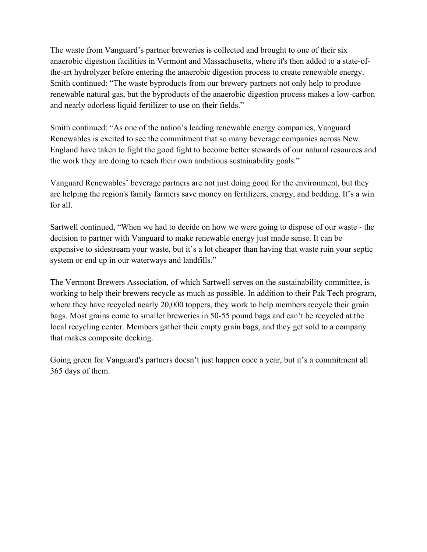The waste from Vanguard's partner breweries is collected and brought to one of their six anaerobic digestion facilities in Vermont and Massachusetts, where it's then added to a state-ofthe-art hydrolyzer before entering the anaerobic digestion process to create renewable energy. Smith continued: "The waste byproducts from our brewery partners not only help to produce renewable natural gas, but the byproducts of the anaerobic digestion process makes a low-carbon and nearly odorless liquid fertilizer to use on their fields."

Smith continued: "As one of the nation's leading renewable energy companies, Vanguard Renewables is excited to see the commitment that so many beverage companies across New England have taken to fight the good fight to become better stewards of our natural resources and the work they are doing to reach their own ambitious sustainability goals."

Vanguard Renewables' beverage partners are not just doing good for the environment, but they are helping the region's family farmers save money on fertilizers, energy, and bedding. It's a win for all.

Sartwell continued, "When we had to decide on how we were going to dispose of our waste - the decision to partner with Vanguard to make renewable energy just made sense. It can be expensive to sidestream your waste, but it's a lot cheaper than having that waste ruin your septic system or end up in our waterways and landfills."

The Vermont Brewers Association, of which Sartwell serves on the sustainability committee, is working to help their brewers recycle as much as possible. In addition to their Pak Tech program, where they have recycled nearly 20,000 toppers, they work to help members recycle their grain bags. Most grains come to smaller breweries in 50-55 pound bags and can't be recycled at the local recycling center. Members gather their empty grain bags, and they get sold to a company that makes composite decking.

Going green for Vanguard's partners doesn't just happen once a year, but it's a commitment all 365 days of them.